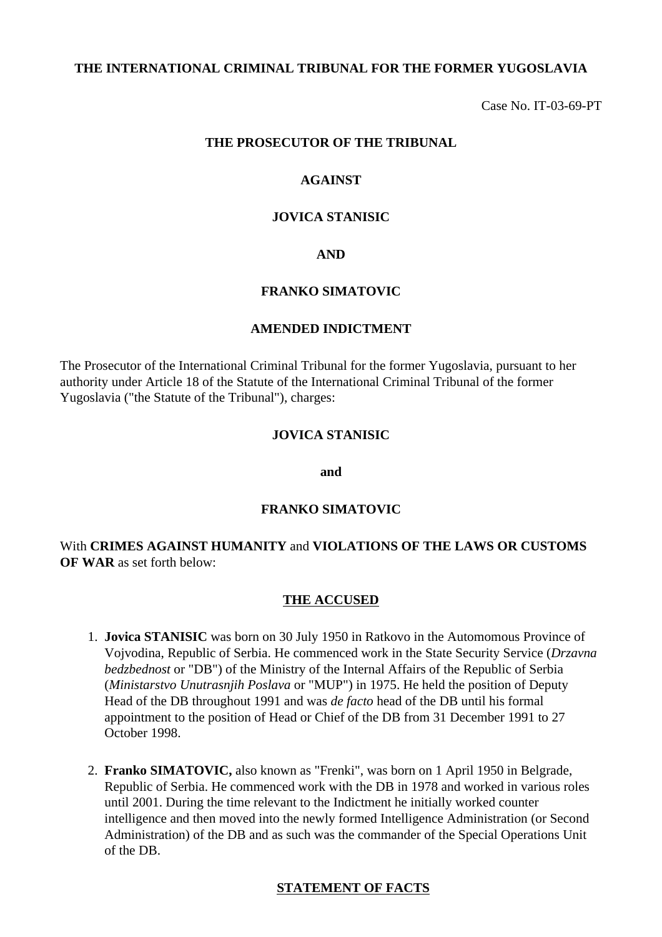### **THE INTERNATIONAL CRIMINAL TRIBUNAL FOR THE FORMER YUGOSLAVIA**

Case No. IT-03-69-PT

#### **THE PROSECUTOR OF THE TRIBUNAL**

### **AGAINST**

#### **JOVICA STANISIC**

### **AND**

### **FRANKO SIMATOVIC**

#### **AMENDED INDICTMENT**

The Prosecutor of the International Criminal Tribunal for the former Yugoslavia, pursuant to her authority under Article 18 of the Statute of the International Criminal Tribunal of the former Yugoslavia ("the Statute of the Tribunal"), charges:

#### **JOVICA STANISIC**

**and**

#### **FRANKO SIMATOVIC**

## With **CRIMES AGAINST HUMANITY** and **VIOLATIONS OF THE LAWS OR CUSTOMS OF WAR** as set forth below:

#### **THE ACCUSED**

- 1. **Jovica STANISIC** was born on 30 July 1950 in Ratkovo in the Automomous Province of Vojvodina, Republic of Serbia. He commenced work in the State Security Service (*Drzavna bedzbednost* or "DB") of the Ministry of the Internal Affairs of the Republic of Serbia (*Ministarstvo Unutrasnjih Poslava* or "MUP") in 1975. He held the position of Deputy Head of the DB throughout 1991 and was *de facto* head of the DB until his formal appointment to the position of Head or Chief of the DB from 31 December 1991 to 27 October 1998.
- 2. **Franko SIMATOVIC,** also known as "Frenki", was born on 1 April 1950 in Belgrade, Republic of Serbia. He commenced work with the DB in 1978 and worked in various roles until 2001. During the time relevant to the Indictment he initially worked counter intelligence and then moved into the newly formed Intelligence Administration (or Second Administration) of the DB and as such was the commander of the Special Operations Unit of the DB.

#### **STATEMENT OF FACTS**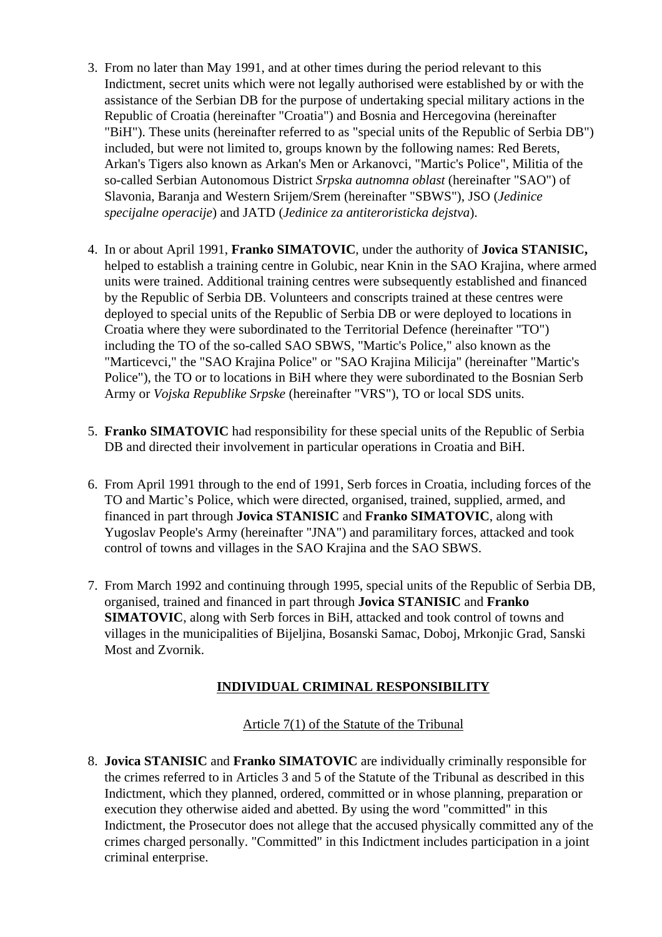- 3. From no later than May 1991, and at other times during the period relevant to this Indictment, secret units which were not legally authorised were established by or with the assistance of the Serbian DB for the purpose of undertaking special military actions in the Republic of Croatia (hereinafter "Croatia") and Bosnia and Hercegovina (hereinafter "BiH"). These units (hereinafter referred to as "special units of the Republic of Serbia DB") included, but were not limited to, groups known by the following names: Red Berets, Arkan's Tigers also known as Arkan's Men or Arkanovci, "Martic's Police", Militia of the so-called Serbian Autonomous District *Srpska autnomna oblast* (hereinafter "SAO") of Slavonia, Baranja and Western Srijem/Srem (hereinafter "SBWS"), JSO (*Jedinice specijalne operacije*) and JATD (*Jedinice za antiteroristicka dejstva*).
- 4. In or about April 1991, **Franko SIMATOVIC**, under the authority of **Jovica STANISIC,**  helped to establish a training centre in Golubic, near Knin in the SAO Krajina, where armed units were trained. Additional training centres were subsequently established and financed by the Republic of Serbia DB. Volunteers and conscripts trained at these centres were deployed to special units of the Republic of Serbia DB or were deployed to locations in Croatia where they were subordinated to the Territorial Defence (hereinafter "TO") including the TO of the so-called SAO SBWS, "Martic's Police," also known as the "Marticevci," the "SAO Krajina Police" or "SAO Krajina Milicija" (hereinafter "Martic's Police"), the TO or to locations in BiH where they were subordinated to the Bosnian Serb Army or *Vojska Republike Srpske* (hereinafter "VRS"), TO or local SDS units.
- 5. **Franko SIMATOVIC** had responsibility for these special units of the Republic of Serbia DB and directed their involvement in particular operations in Croatia and BiH.
- 6. From April 1991 through to the end of 1991, Serb forces in Croatia, including forces of the TO and Martic's Police, which were directed, organised, trained, supplied, armed, and financed in part through **Jovica STANISIC** and **Franko SIMATOVIC**, along with Yugoslav People's Army (hereinafter "JNA") and paramilitary forces, attacked and took control of towns and villages in the SAO Krajina and the SAO SBWS.
- 7. From March 1992 and continuing through 1995, special units of the Republic of Serbia DB, organised, trained and financed in part through **Jovica STANISIC** and **Franko SIMATOVIC**, along with Serb forces in BiH, attacked and took control of towns and villages in the municipalities of Bijeljina, Bosanski Samac, Doboj, Mrkonjic Grad, Sanski Most and Zvornik.

# **INDIVIDUAL CRIMINAL RESPONSIBILITY**

## Article 7(1) of the Statute of the Tribunal

8. **Jovica STANISIC** and **Franko SIMATOVIC** are individually criminally responsible for the crimes referred to in Articles 3 and 5 of the Statute of the Tribunal as described in this Indictment, which they planned, ordered, committed or in whose planning, preparation or execution they otherwise aided and abetted. By using the word "committed" in this Indictment, the Prosecutor does not allege that the accused physically committed any of the crimes charged personally. "Committed" in this Indictment includes participation in a joint criminal enterprise.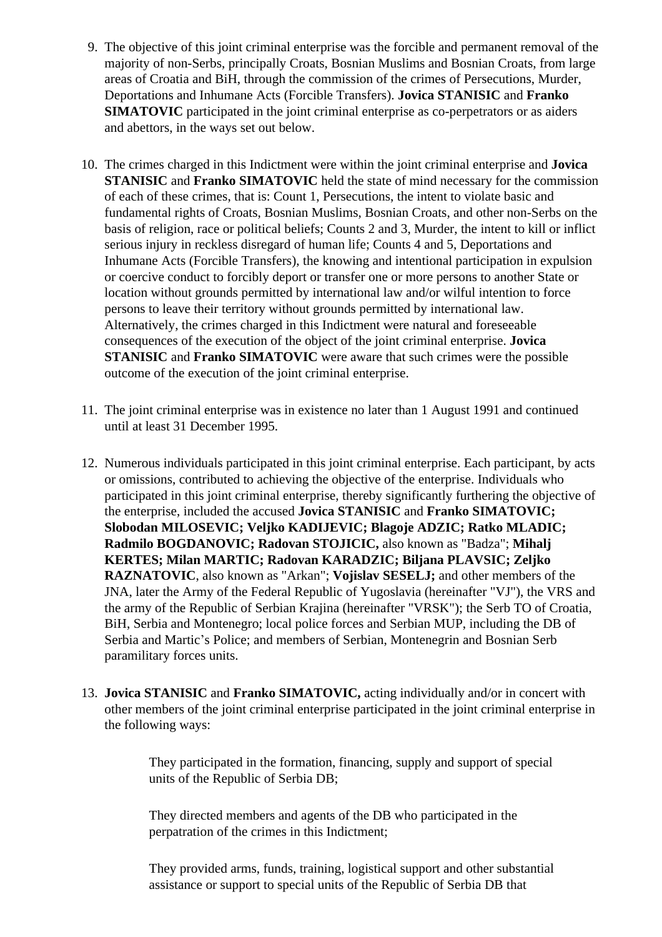- 9. The objective of this joint criminal enterprise was the forcible and permanent removal of the majority of non-Serbs, principally Croats, Bosnian Muslims and Bosnian Croats, from large areas of Croatia and BiH, through the commission of the crimes of Persecutions, Murder, Deportations and Inhumane Acts (Forcible Transfers). **Jovica STANISIC** and **Franko SIMATOVIC** participated in the joint criminal enterprise as co-perpetrators or as aiders and abettors, in the ways set out below.
- 10. The crimes charged in this Indictment were within the joint criminal enterprise and **Jovica STANISIC** and **Franko SIMATOVIC** held the state of mind necessary for the commission of each of these crimes, that is: Count 1, Persecutions, the intent to violate basic and fundamental rights of Croats, Bosnian Muslims, Bosnian Croats, and other non-Serbs on the basis of religion, race or political beliefs; Counts 2 and 3, Murder, the intent to kill or inflict serious injury in reckless disregard of human life; Counts 4 and 5, Deportations and Inhumane Acts (Forcible Transfers), the knowing and intentional participation in expulsion or coercive conduct to forcibly deport or transfer one or more persons to another State or location without grounds permitted by international law and/or wilful intention to force persons to leave their territory without grounds permitted by international law. Alternatively, the crimes charged in this Indictment were natural and foreseeable consequences of the execution of the object of the joint criminal enterprise. **Jovica STANISIC** and **Franko SIMATOVIC** were aware that such crimes were the possible outcome of the execution of the joint criminal enterprise.
- 11. The joint criminal enterprise was in existence no later than 1 August 1991 and continued until at least 31 December 1995.
- 12. Numerous individuals participated in this joint criminal enterprise. Each participant, by acts or omissions, contributed to achieving the objective of the enterprise. Individuals who participated in this joint criminal enterprise, thereby significantly furthering the objective of the enterprise, included the accused **Jovica STANISIC** and **Franko SIMATOVIC; Slobodan MILOSEVIC; Veljko KADIJEVIC; Blagoje ADZIC; Ratko MLADIC; Radmilo BOGDANOVIC; Radovan STOJICIC,** also known as "Badza"; **Mihalj KERTES; Milan MARTIC; Radovan KARADZIC; Biljana PLAVSIC; Zeljko RAZNATOVIC**, also known as "Arkan"; **Vojislav SESELJ;** and other members of the JNA, later the Army of the Federal Republic of Yugoslavia (hereinafter "VJ"), the VRS and the army of the Republic of Serbian Krajina (hereinafter "VRSK"); the Serb TO of Croatia, BiH, Serbia and Montenegro; local police forces and Serbian MUP, including the DB of Serbia and Martic's Police; and members of Serbian, Montenegrin and Bosnian Serb paramilitary forces units.
- 13. **Jovica STANISIC** and **Franko SIMATOVIC,** acting individually and/or in concert with other members of the joint criminal enterprise participated in the joint criminal enterprise in the following ways:

They participated in the formation, financing, supply and support of special units of the Republic of Serbia DB;

They directed members and agents of the DB who participated in the perpatration of the crimes in this Indictment;

They provided arms, funds, training, logistical support and other substantial assistance or support to special units of the Republic of Serbia DB that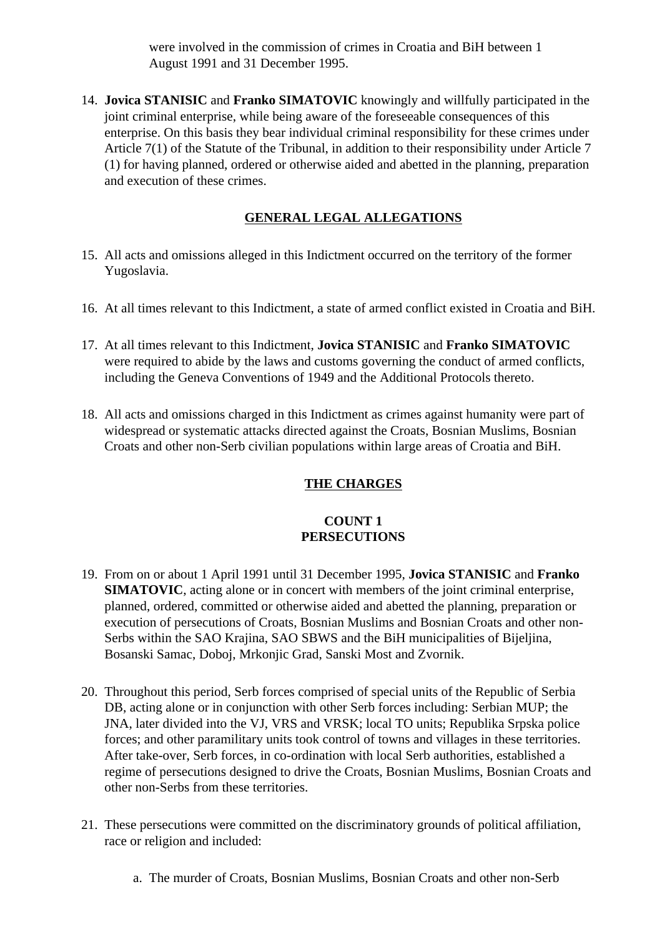were involved in the commission of crimes in Croatia and BiH between 1 August 1991 and 31 December 1995.

14. **Jovica STANISIC** and **Franko SIMATOVIC** knowingly and willfully participated in the joint criminal enterprise, while being aware of the foreseeable consequences of this enterprise. On this basis they bear individual criminal responsibility for these crimes under Article 7(1) of the Statute of the Tribunal, in addition to their responsibility under Article 7 (1) for having planned, ordered or otherwise aided and abetted in the planning, preparation and execution of these crimes.

# **GENERAL LEGAL ALLEGATIONS**

- 15. All acts and omissions alleged in this Indictment occurred on the territory of the former Yugoslavia.
- 16. At all times relevant to this Indictment, a state of armed conflict existed in Croatia and BiH.
- 17. At all times relevant to this Indictment, **Jovica STANISIC** and **Franko SIMATOVIC** were required to abide by the laws and customs governing the conduct of armed conflicts, including the Geneva Conventions of 1949 and the Additional Protocols thereto.
- 18. All acts and omissions charged in this Indictment as crimes against humanity were part of widespread or systematic attacks directed against the Croats, Bosnian Muslims, Bosnian Croats and other non-Serb civilian populations within large areas of Croatia and BiH.

## **THE CHARGES**

### **COUNT 1 PERSECUTIONS**

- 19. From on or about 1 April 1991 until 31 December 1995, **Jovica STANISIC** and **Franko SIMATOVIC**, acting alone or in concert with members of the joint criminal enterprise, planned, ordered, committed or otherwise aided and abetted the planning, preparation or execution of persecutions of Croats, Bosnian Muslims and Bosnian Croats and other non-Serbs within the SAO Krajina, SAO SBWS and the BiH municipalities of Bijeljina, Bosanski Samac, Doboj, Mrkonjic Grad, Sanski Most and Zvornik.
- 20. Throughout this period, Serb forces comprised of special units of the Republic of Serbia DB, acting alone or in conjunction with other Serb forces including: Serbian MUP; the JNA, later divided into the VJ, VRS and VRSK; local TO units; Republika Srpska police forces; and other paramilitary units took control of towns and villages in these territories. After take-over, Serb forces, in co-ordination with local Serb authorities, established a regime of persecutions designed to drive the Croats, Bosnian Muslims, Bosnian Croats and other non-Serbs from these territories.
- 21. These persecutions were committed on the discriminatory grounds of political affiliation, race or religion and included:
	- a. The murder of Croats, Bosnian Muslims, Bosnian Croats and other non-Serb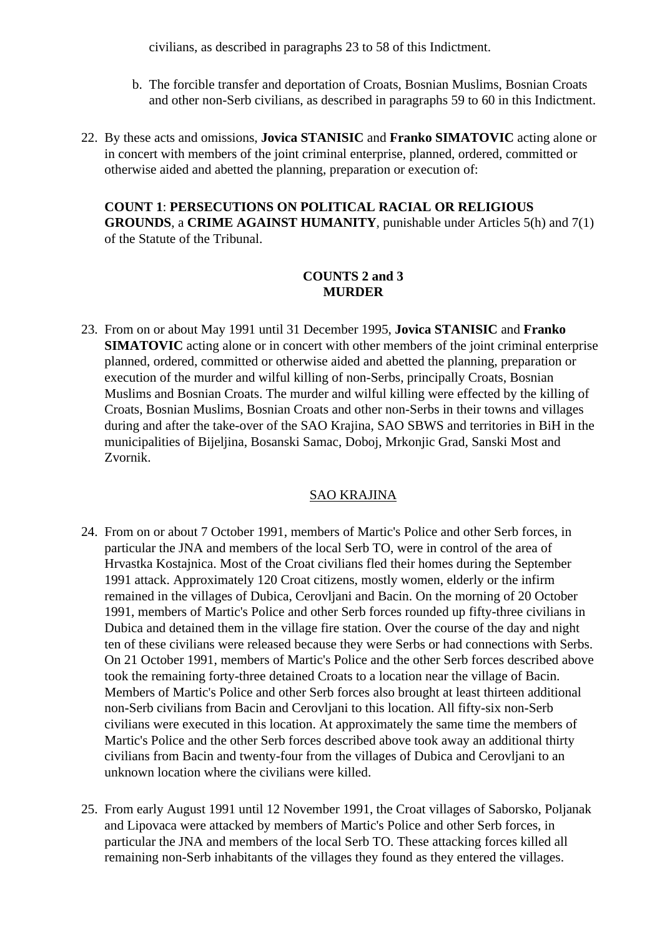civilians, as described in paragraphs 23 to 58 of this Indictment.

- b. The forcible transfer and deportation of Croats, Bosnian Muslims, Bosnian Croats and other non-Serb civilians, as described in paragraphs 59 to 60 in this Indictment.
- 22. By these acts and omissions, **Jovica STANISIC** and **Franko SIMATOVIC** acting alone or in concert with members of the joint criminal enterprise, planned, ordered, committed or otherwise aided and abetted the planning, preparation or execution of:

**COUNT 1**: **PERSECUTIONS ON POLITICAL RACIAL OR RELIGIOUS GROUNDS**, a **CRIME AGAINST HUMANITY**, punishable under Articles 5(h) and 7(1) of the Statute of the Tribunal.

# **COUNTS 2 and 3 MURDER**

23. From on or about May 1991 until 31 December 1995, **Jovica STANISIC** and **Franko SIMATOVIC** acting alone or in concert with other members of the joint criminal enterprise planned, ordered, committed or otherwise aided and abetted the planning, preparation or execution of the murder and wilful killing of non-Serbs, principally Croats, Bosnian Muslims and Bosnian Croats. The murder and wilful killing were effected by the killing of Croats, Bosnian Muslims, Bosnian Croats and other non-Serbs in their towns and villages during and after the take-over of the SAO Krajina, SAO SBWS and territories in BiH in the municipalities of Bijeljina, Bosanski Samac, Doboj, Mrkonjic Grad, Sanski Most and Zvornik.

## SAO KRAJINA

- 24. From on or about 7 October 1991, members of Martic's Police and other Serb forces, in particular the JNA and members of the local Serb TO, were in control of the area of Hrvastka Kostajnica. Most of the Croat civilians fled their homes during the September 1991 attack. Approximately 120 Croat citizens, mostly women, elderly or the infirm remained in the villages of Dubica, Cerovljani and Bacin. On the morning of 20 October 1991, members of Martic's Police and other Serb forces rounded up fifty-three civilians in Dubica and detained them in the village fire station. Over the course of the day and night ten of these civilians were released because they were Serbs or had connections with Serbs. On 21 October 1991, members of Martic's Police and the other Serb forces described above took the remaining forty-three detained Croats to a location near the village of Bacin. Members of Martic's Police and other Serb forces also brought at least thirteen additional non-Serb civilians from Bacin and Cerovljani to this location. All fifty-six non-Serb civilians were executed in this location. At approximately the same time the members of Martic's Police and the other Serb forces described above took away an additional thirty civilians from Bacin and twenty-four from the villages of Dubica and Cerovljani to an unknown location where the civilians were killed.
- 25. From early August 1991 until 12 November 1991, the Croat villages of Saborsko, Poljanak and Lipovaca were attacked by members of Martic's Police and other Serb forces, in particular the JNA and members of the local Serb TO. These attacking forces killed all remaining non-Serb inhabitants of the villages they found as they entered the villages.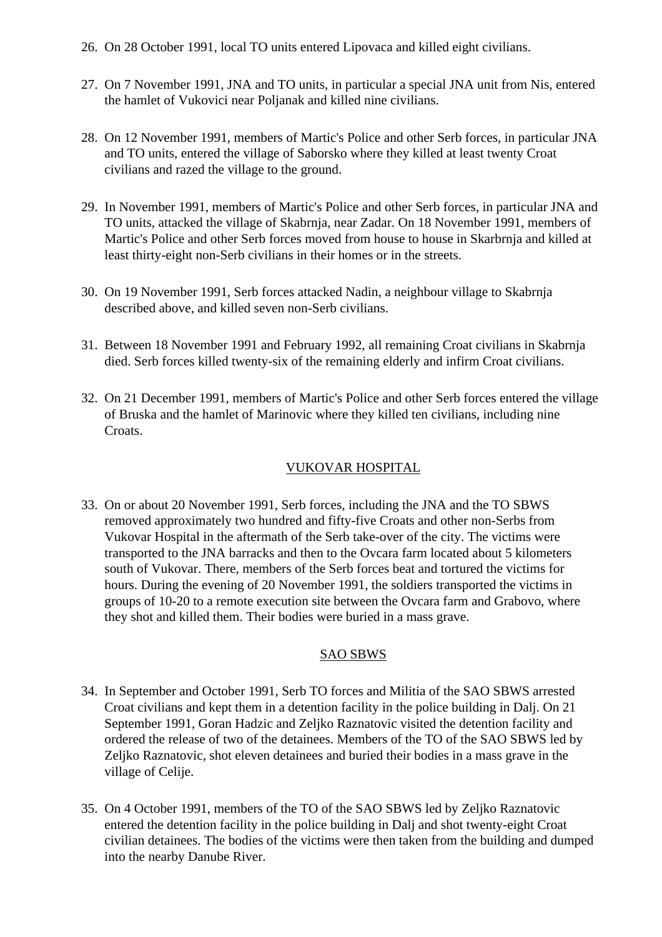- 26. On 28 October 1991, local TO units entered Lipovaca and killed eight civilians.
- 27. On 7 November 1991, JNA and TO units, in particular a special JNA unit from Nis, entered the hamlet of Vukovici near Poljanak and killed nine civilians.
- 28. On 12 November 1991, members of Martic's Police and other Serb forces, in particular JNA and TO units, entered the village of Saborsko where they killed at least twenty Croat civilians and razed the village to the ground.
- 29. In November 1991, members of Martic's Police and other Serb forces, in particular JNA and TO units, attacked the village of Skabrnja, near Zadar. On 18 November 1991, members of Martic's Police and other Serb forces moved from house to house in Skarbrnja and killed at least thirty-eight non-Serb civilians in their homes or in the streets.
- 30. On 19 November 1991, Serb forces attacked Nadin, a neighbour village to Skabrnja described above, and killed seven non-Serb civilians.
- 31. Between 18 November 1991 and February 1992, all remaining Croat civilians in Skabrnja died. Serb forces killed twenty-six of the remaining elderly and infirm Croat civilians.
- 32. On 21 December 1991, members of Martic's Police and other Serb forces entered the village of Bruska and the hamlet of Marinovic where they killed ten civilians, including nine Croats.

## VUKOVAR HOSPITAL

33. On or about 20 November 1991, Serb forces, including the JNA and the TO SBWS removed approximately two hundred and fifty-five Croats and other non-Serbs from Vukovar Hospital in the aftermath of the Serb take-over of the city. The victims were transported to the JNA barracks and then to the Ovcara farm located about 5 kilometers south of Vukovar. There, members of the Serb forces beat and tortured the victims for hours. During the evening of 20 November 1991, the soldiers transported the victims in groups of 10-20 to a remote execution site between the Ovcara farm and Grabovo, where they shot and killed them. Their bodies were buried in a mass grave.

## SAO SBWS

- 34. In September and October 1991, Serb TO forces and Militia of the SAO SBWS arrested Croat civilians and kept them in a detention facility in the police building in Dalj. On 21 September 1991, Goran Hadzic and Zeljko Raznatovic visited the detention facility and ordered the release of two of the detainees. Members of the TO of the SAO SBWS led by Zeljko Raznatovic, shot eleven detainees and buried their bodies in a mass grave in the village of Celije.
- 35. On 4 October 1991, members of the TO of the SAO SBWS led by Zeljko Raznatovic entered the detention facility in the police building in Dalj and shot twenty-eight Croat civilian detainees. The bodies of the victims were then taken from the building and dumped into the nearby Danube River.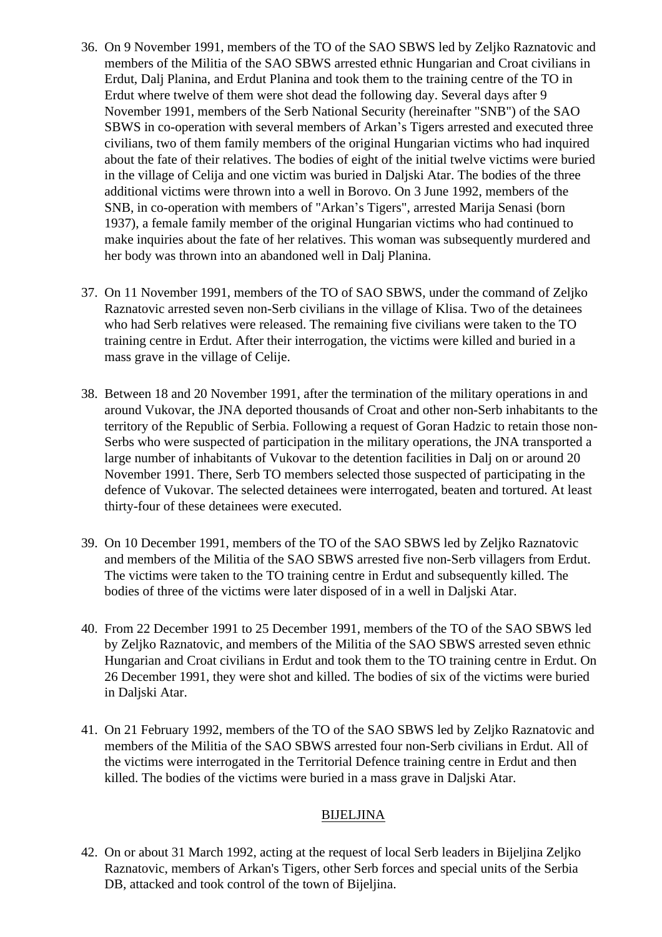- 36. On 9 November 1991, members of the TO of the SAO SBWS led by Zeljko Raznatovic and members of the Militia of the SAO SBWS arrested ethnic Hungarian and Croat civilians in Erdut, Dalj Planina, and Erdut Planina and took them to the training centre of the TO in Erdut where twelve of them were shot dead the following day. Several days after 9 November 1991, members of the Serb National Security (hereinafter "SNB") of the SAO SBWS in co-operation with several members of Arkan's Tigers arrested and executed three civilians, two of them family members of the original Hungarian victims who had inquired about the fate of their relatives. The bodies of eight of the initial twelve victims were buried in the village of Celija and one victim was buried in Daljski Atar. The bodies of the three additional victims were thrown into a well in Borovo. On 3 June 1992, members of the SNB, in co-operation with members of "Arkan's Tigers", arrested Marija Senasi (born 1937), a female family member of the original Hungarian victims who had continued to make inquiries about the fate of her relatives. This woman was subsequently murdered and her body was thrown into an abandoned well in Dalj Planina.
- 37. On 11 November 1991, members of the TO of SAO SBWS, under the command of Zeljko Raznatovic arrested seven non-Serb civilians in the village of Klisa. Two of the detainees who had Serb relatives were released. The remaining five civilians were taken to the TO training centre in Erdut. After their interrogation, the victims were killed and buried in a mass grave in the village of Celije.
- 38. Between 18 and 20 November 1991, after the termination of the military operations in and around Vukovar, the JNA deported thousands of Croat and other non-Serb inhabitants to the territory of the Republic of Serbia. Following a request of Goran Hadzic to retain those non-Serbs who were suspected of participation in the military operations, the JNA transported a large number of inhabitants of Vukovar to the detention facilities in Dalj on or around 20 November 1991. There, Serb TO members selected those suspected of participating in the defence of Vukovar. The selected detainees were interrogated, beaten and tortured. At least thirty-four of these detainees were executed.
- 39. On 10 December 1991, members of the TO of the SAO SBWS led by Zeljko Raznatovic and members of the Militia of the SAO SBWS arrested five non-Serb villagers from Erdut. The victims were taken to the TO training centre in Erdut and subsequently killed. The bodies of three of the victims were later disposed of in a well in Daljski Atar.
- 40. From 22 December 1991 to 25 December 1991, members of the TO of the SAO SBWS led by Zeljko Raznatovic, and members of the Militia of the SAO SBWS arrested seven ethnic Hungarian and Croat civilians in Erdut and took them to the TO training centre in Erdut. On 26 December 1991, they were shot and killed. The bodies of six of the victims were buried in Daljski Atar.
- 41. On 21 February 1992, members of the TO of the SAO SBWS led by Zeljko Raznatovic and members of the Militia of the SAO SBWS arrested four non-Serb civilians in Erdut. All of the victims were interrogated in the Territorial Defence training centre in Erdut and then killed. The bodies of the victims were buried in a mass grave in Daljski Atar.

## BIJELJINA

42. On or about 31 March 1992, acting at the request of local Serb leaders in Bijeljina Zeljko Raznatovic, members of Arkan's Tigers, other Serb forces and special units of the Serbia DB, attacked and took control of the town of Bijeljina.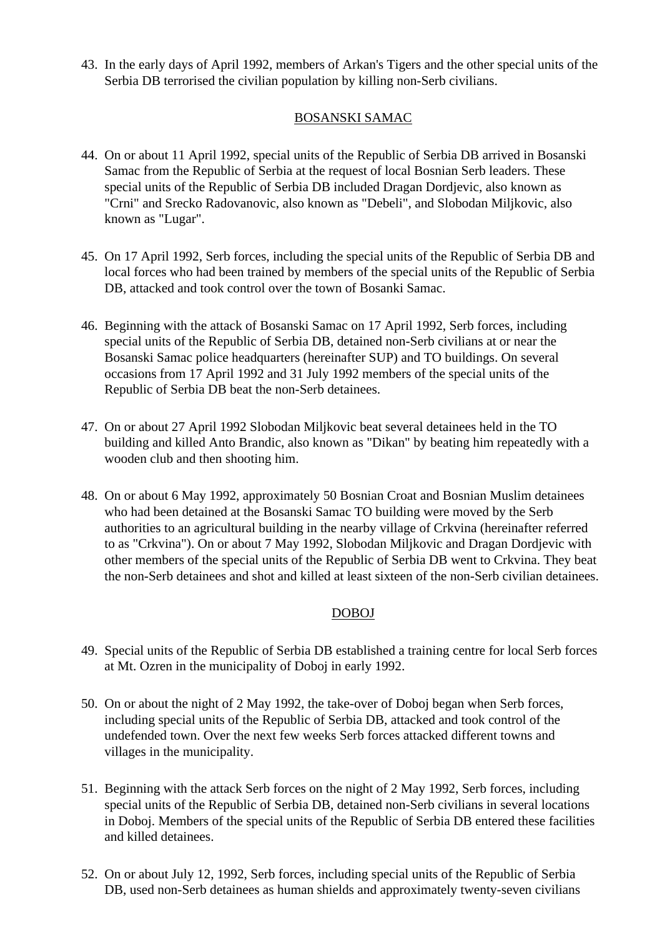43. In the early days of April 1992, members of Arkan's Tigers and the other special units of the Serbia DB terrorised the civilian population by killing non-Serb civilians.

# BOSANSKI SAMAC

- 44. On or about 11 April 1992, special units of the Republic of Serbia DB arrived in Bosanski Samac from the Republic of Serbia at the request of local Bosnian Serb leaders. These special units of the Republic of Serbia DB included Dragan Dordjevic, also known as "Crni" and Srecko Radovanovic, also known as "Debeli", and Slobodan Miljkovic, also known as "Lugar".
- 45. On 17 April 1992, Serb forces, including the special units of the Republic of Serbia DB and local forces who had been trained by members of the special units of the Republic of Serbia DB, attacked and took control over the town of Bosanki Samac.
- 46. Beginning with the attack of Bosanski Samac on 17 April 1992, Serb forces, including special units of the Republic of Serbia DB, detained non-Serb civilians at or near the Bosanski Samac police headquarters (hereinafter SUP) and TO buildings. On several occasions from 17 April 1992 and 31 July 1992 members of the special units of the Republic of Serbia DB beat the non-Serb detainees.
- 47. On or about 27 April 1992 Slobodan Miljkovic beat several detainees held in the TO building and killed Anto Brandic, also known as "Dikan" by beating him repeatedly with a wooden club and then shooting him.
- 48. On or about 6 May 1992, approximately 50 Bosnian Croat and Bosnian Muslim detainees who had been detained at the Bosanski Samac TO building were moved by the Serb authorities to an agricultural building in the nearby village of Crkvina (hereinafter referred to as "Crkvina"). On or about 7 May 1992, Slobodan Miljkovic and Dragan Dordjevic with other members of the special units of the Republic of Serbia DB went to Crkvina. They beat the non-Serb detainees and shot and killed at least sixteen of the non-Serb civilian detainees.

## DOBOJ

- 49. Special units of the Republic of Serbia DB established a training centre for local Serb forces at Mt. Ozren in the municipality of Doboj in early 1992.
- 50. On or about the night of 2 May 1992, the take-over of Doboj began when Serb forces, including special units of the Republic of Serbia DB, attacked and took control of the undefended town. Over the next few weeks Serb forces attacked different towns and villages in the municipality.
- 51. Beginning with the attack Serb forces on the night of 2 May 1992, Serb forces, including special units of the Republic of Serbia DB, detained non-Serb civilians in several locations in Doboj. Members of the special units of the Republic of Serbia DB entered these facilities and killed detainees.
- 52. On or about July 12, 1992, Serb forces, including special units of the Republic of Serbia DB, used non-Serb detainees as human shields and approximately twenty-seven civilians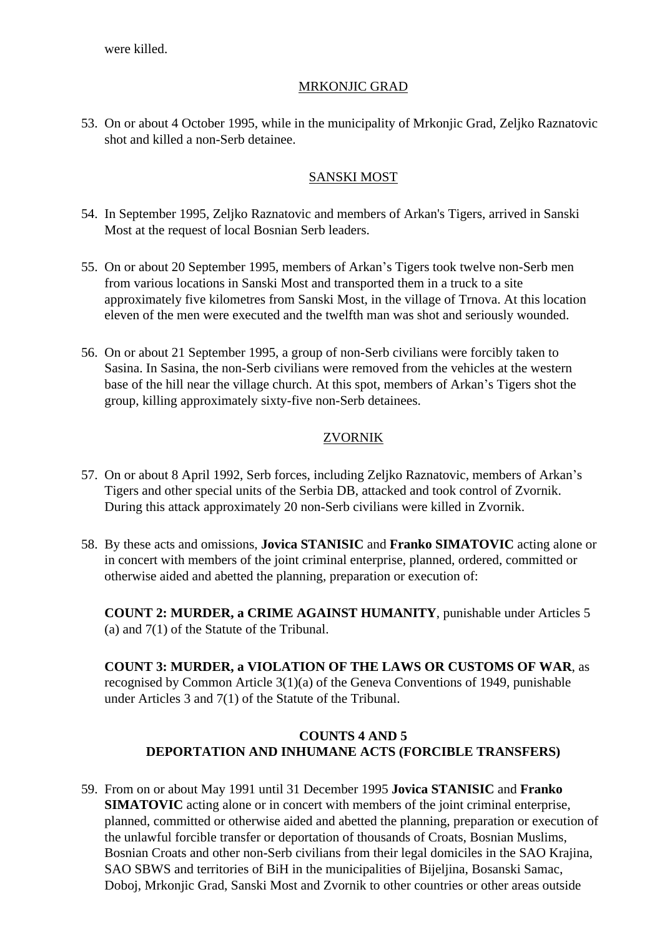were killed.

# MRKONJIC GRAD

53. On or about 4 October 1995, while in the municipality of Mrkonjic Grad, Zeljko Raznatovic shot and killed a non-Serb detainee.

## SANSKI MOST

- 54. In September 1995, Zeljko Raznatovic and members of Arkan's Tigers, arrived in Sanski Most at the request of local Bosnian Serb leaders.
- 55. On or about 20 September 1995, members of Arkan's Tigers took twelve non-Serb men from various locations in Sanski Most and transported them in a truck to a site approximately five kilometres from Sanski Most, in the village of Trnova. At this location eleven of the men were executed and the twelfth man was shot and seriously wounded.
- 56. On or about 21 September 1995, a group of non-Serb civilians were forcibly taken to Sasina. In Sasina, the non-Serb civilians were removed from the vehicles at the western base of the hill near the village church. At this spot, members of Arkan's Tigers shot the group, killing approximately sixty-five non-Serb detainees.

# ZVORNIK

- 57. On or about 8 April 1992, Serb forces, including Zeljko Raznatovic, members of Arkan's Tigers and other special units of the Serbia DB, attacked and took control of Zvornik. During this attack approximately 20 non-Serb civilians were killed in Zvornik.
- 58. By these acts and omissions, **Jovica STANISIC** and **Franko SIMATOVIC** acting alone or in concert with members of the joint criminal enterprise, planned, ordered, committed or otherwise aided and abetted the planning, preparation or execution of:

**COUNT 2: MURDER, a CRIME AGAINST HUMANITY**, punishable under Articles 5 (a) and 7(1) of the Statute of the Tribunal.

**COUNT 3: MURDER, a VIOLATION OF THE LAWS OR CUSTOMS OF WAR**, as recognised by Common Article 3(1)(a) of the Geneva Conventions of 1949, punishable under Articles 3 and 7(1) of the Statute of the Tribunal.

# **COUNTS 4 AND 5 DEPORTATION AND INHUMANE ACTS (FORCIBLE TRANSFERS)**

59. From on or about May 1991 until 31 December 1995 **Jovica STANISIC** and **Franko SIMATOVIC** acting alone or in concert with members of the joint criminal enterprise, planned, committed or otherwise aided and abetted the planning, preparation or execution of the unlawful forcible transfer or deportation of thousands of Croats, Bosnian Muslims, Bosnian Croats and other non-Serb civilians from their legal domiciles in the SAO Krajina, SAO SBWS and territories of BiH in the municipalities of Bijeljina, Bosanski Samac, Doboj, Mrkonjic Grad, Sanski Most and Zvornik to other countries or other areas outside